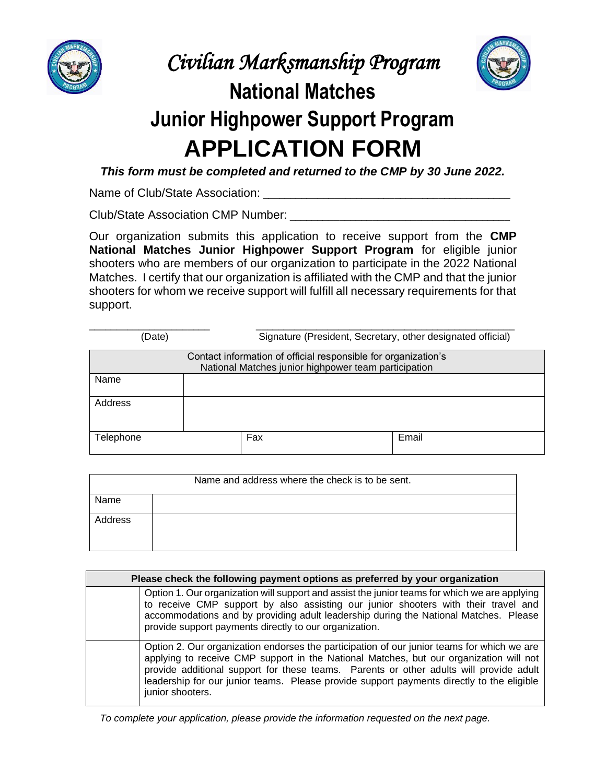

*Civilian Marksmanship Program*



## **National Matches Junior Highpower Support Program APPLICATION FORM**

*This form must be completed and returned to the CMP by 30 June 2022.*

Name of Club/State Association: \_\_\_\_\_\_\_\_\_\_\_\_\_\_\_\_\_\_\_\_\_\_\_\_\_\_\_\_\_\_\_\_\_\_\_\_\_\_\_\_\_\_\_\_\_

Club/State Association CMP Number: \_\_\_\_\_\_\_\_\_\_\_\_\_\_\_\_\_\_\_\_\_\_\_\_\_\_\_\_\_\_\_\_\_\_\_\_\_\_\_\_

Our organization submits this application to receive support from the **CMP National Matches Junior Highpower Support Program** for eligible junior shooters who are members of our organization to participate in the 2022 National Matches. I certify that our organization is affiliated with the CMP and that the junior shooters for whom we receive support will fulfill all necessary requirements for that support.

| (Date)    | Signature (President, Secretary, other designated official)                                                            |       |  |  |  |
|-----------|------------------------------------------------------------------------------------------------------------------------|-------|--|--|--|
|           | Contact information of official responsible for organization's<br>National Matches junior highpower team participation |       |  |  |  |
| Name      |                                                                                                                        |       |  |  |  |
| Address   |                                                                                                                        |       |  |  |  |
| Telephone | Fax                                                                                                                    | Email |  |  |  |

| Name and address where the check is to be sent. |  |  |  |  |
|-------------------------------------------------|--|--|--|--|
| Name                                            |  |  |  |  |
| Address                                         |  |  |  |  |

| Please check the following payment options as preferred by your organization |                                                                                                                                                                                                                                                                                                                                                                                                 |  |  |  |
|------------------------------------------------------------------------------|-------------------------------------------------------------------------------------------------------------------------------------------------------------------------------------------------------------------------------------------------------------------------------------------------------------------------------------------------------------------------------------------------|--|--|--|
|                                                                              | Option 1. Our organization will support and assist the junior teams for which we are applying<br>to receive CMP support by also assisting our junior shooters with their travel and<br>accommodations and by providing adult leadership during the National Matches. Please<br>provide support payments directly to our organization.                                                           |  |  |  |
|                                                                              | Option 2. Our organization endorses the participation of our junior teams for which we are<br>applying to receive CMP support in the National Matches, but our organization will not<br>provide additional support for these teams. Parents or other adults will provide adult<br>leadership for our junior teams. Please provide support payments directly to the eligible<br>junior shooters. |  |  |  |

 *To complete your application, please provide the information requested on the next page.*